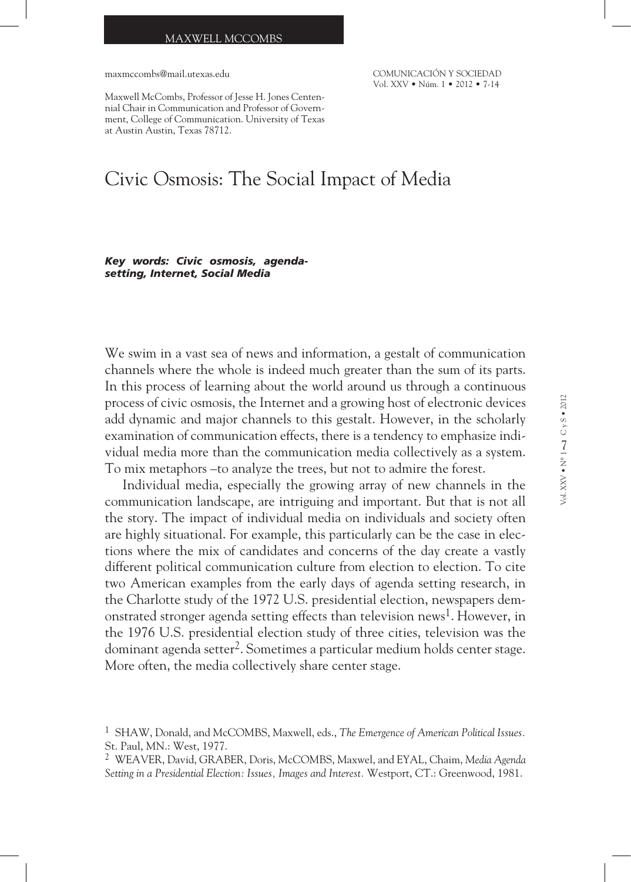#### MAXWELL MCCOMBS

maxmccombs@mail.utexas.edu

COMUNICACIÓN Y SOCIEDAD Vol. XXV • Núm. 1 • 2012 • 7-14

Maxwell McCombs, Professor of Jesse H. Jones Centennial Chair in Communication and Professor of Government, College of Communication. University of Texas at Austin Austin, Texas 78712.

# Civic Osmosis: The Social Impact of Media

*Key words: Civic osmosis, agendasetting, Internet, Social Media*

We swim in a vast sea of news and information, a gestalt of communication channels where the whole is indeed much greater than the sum of its parts. In this process of learning about the world around us through a continuous process of civic osmosis, the Internet and a growing host of electronic devices add dynamic and major channels to this gestalt. However, in the scholarly examination of communication effects, there is a tendency to emphasize individual media more than the communication media collectively as a system. To mix metaphors –to analyze the trees, but not to admire the forest.

Individual media, especially the growing array of new channels in the communication landscape, are intriguing and important. But that is not all the story. The impact of individual media on individuals and society often are highly situational. For example, this particularly can be the case in elections where the mix of candidates and concerns of the day create a vastly different political communication culture from election to election. To cite two American examples from the early days of agenda setting research, in the Charlotte study of the 1972 U.S. presidential election, newspapers demonstrated stronger agenda setting effects than television news<sup>1</sup>. However, in the 1976 U.S. presidential election study of three cities, television was the dominant agenda setter<sup>2</sup>. Sometimes a particular medium holds center stage. More often, the media collectively share center stage.

<sup>1</sup> SHAW, Donald, and McCOMBS, Maxwell, eds., *The Emergence of American Political Issues.*  St. Paul, MN.: West, 1977.

<sup>2</sup> WEAVER, David, GRABER, Doris, McCOMBS, Maxwel, and EYAL, Chaim, *Media Agenda Setting in a Presidential Election: Issues, Images and Interest.* Westport, CT.: Greenwood, 1981.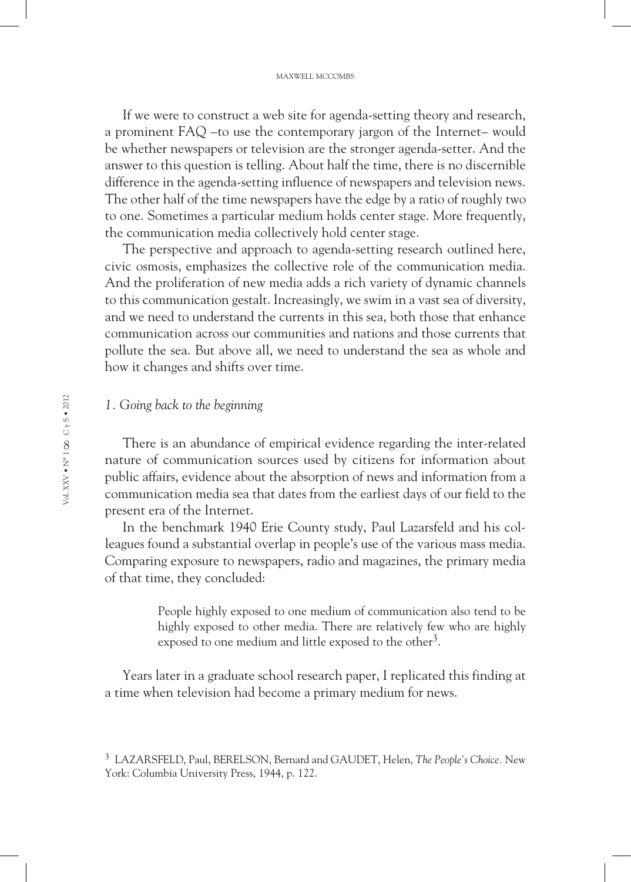If we were to construct a web site for agenda-setting theory and research, a prominent FAQ –to use the contemporary jargon of the Internet– would be whether newspapers or television are the stronger agenda-setter. And the answer to this question is telling. About half the time, there is no discernible difference in the agenda-setting influence of newspapers and television news. The other half of the time newspapers have the edge by a ratio of roughly two to one. Sometimes a particular medium holds center stage. More frequently, the communication media collectively hold center stage.

The perspective and approach to agenda-setting research outlined here, civic osmosis, emphasizes the collective role of the communication media. And the proliferation of new media adds a rich variety of dynamic channels to this communication gestalt. Increasingly, we swim in a vast sea of diversity, and we need to understand the currents in this sea, both those that enhance communication across our communities and nations and those currents that pollute the sea. But above all, we need to understand the sea as whole and how it changes and shifts over time.

## *1. Going back to the beginning*

There is an abundance of empirical evidence regarding the inter-related nature of communication sources used by citizens for information about public affairs, evidence about the absorption of news and information from a communication media sea that dates from the earliest days of our field to the present era of the Internet.

In the benchmark 1940 Erie County study, Paul Lazarsfeld and his colleagues found a substantial overlap in people's use of the various mass media. Comparing exposure to newspapers, radio and magazines, the primary media of that time, they concluded:

> People highly exposed to one medium of communication also tend to be highly exposed to other media. There are relatively few who are highly exposed to one medium and little exposed to the other<sup>3</sup>.

Years later in a graduate school research paper, I replicated this finding at a time when television had become a primary medium for news.

<sup>3</sup> LAZARSFELD, Paul, BERELSON, Bernard and GAUDET, Helen, *The People's Choice.* New York: Columbia University Press, 1944, p. 122.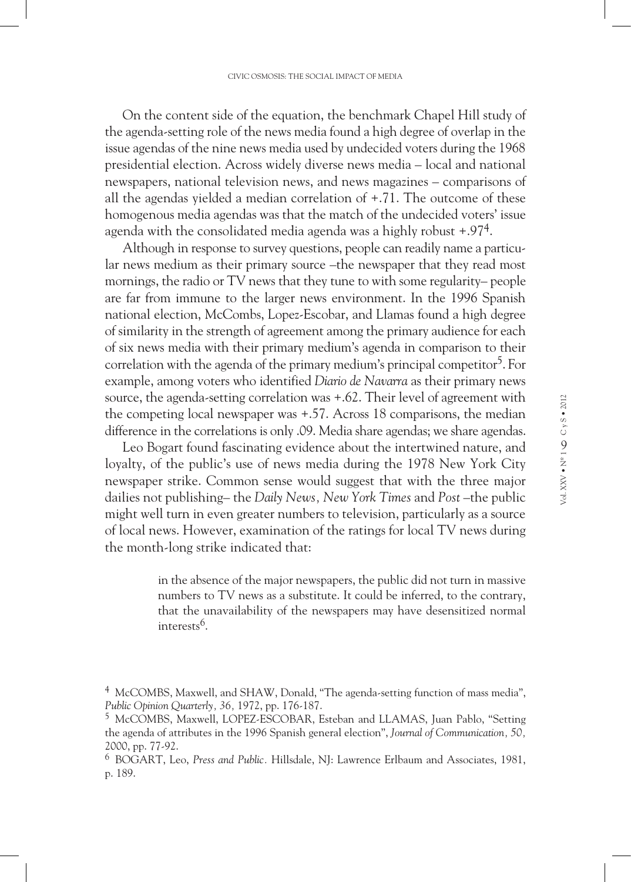On the content side of the equation, the benchmark Chapel Hill study of the agenda-setting role of the news media found a high degree of overlap in the issue agendas of the nine news media used by undecided voters during the 1968 presidential election. Across widely diverse news media – local and national newspapers, national television news, and news magazines – comparisons of all the agendas yielded a median correlation of +.71. The outcome of these homogenous media agendas was that the match of the undecided voters' issue agenda with the consolidated media agenda was a highly robust  $+.974$ .

Although in response to survey questions, people can readily name a particular news medium as their primary source –the newspaper that they read most mornings, the radio or TV news that they tune to with some regularity– people are far from immune to the larger news environment. In the 1996 Spanish national election, McCombs, Lopez-Escobar, and Llamas found a high degree of similarity in the strength of agreement among the primary audience for each of six news media with their primary medium's agenda in comparison to their correlation with the agenda of the primary medium's principal competitor<sup>5</sup>. For example, among voters who identified *Diario de Navarra* as their primary news source, the agenda-setting correlation was +.62. Their level of agreement with the competing local newspaper was +.57. Across 18 comparisons, the median difference in the correlations is only .09. Media share agendas; we share agendas.

Leo Bogart found fascinating evidence about the intertwined nature, and loyalty, of the public's use of news media during the 1978 New York City newspaper strike. Common sense would suggest that with the three major dailies not publishing– the *Daily News, New York Times* and *Post* –the public might well turn in even greater numbers to television, particularly as a source of local news. However, examination of the ratings for local TV news during the month-long strike indicated that:

> in the absence of the major newspapers, the public did not turn in massive numbers to TV news as a substitute. It could be inferred, to the contrary, that the unavailability of the newspapers may have desensitized normal interests<sup>6</sup>.

<sup>4</sup> McCOMBS, Maxwell, and SHAW, Donald, "The agenda-setting function of mass media", *Public Opinion Quarterly, 36,* 1972, pp. 176-187.

<sup>5</sup> McCOMBS, Maxwell, LOPEZ-ESCOBAR, Esteban and LLAMAS, Juan Pablo, "Setting the agenda of attributes in the 1996 Spanish general election", *Journal of Communication, 50,*  2000, pp. 77-92.

<sup>6</sup> BOGART, Leo, *Press and Public.* Hillsdale, NJ: Lawrence Erlbaum and Associates, 1981, p. 189.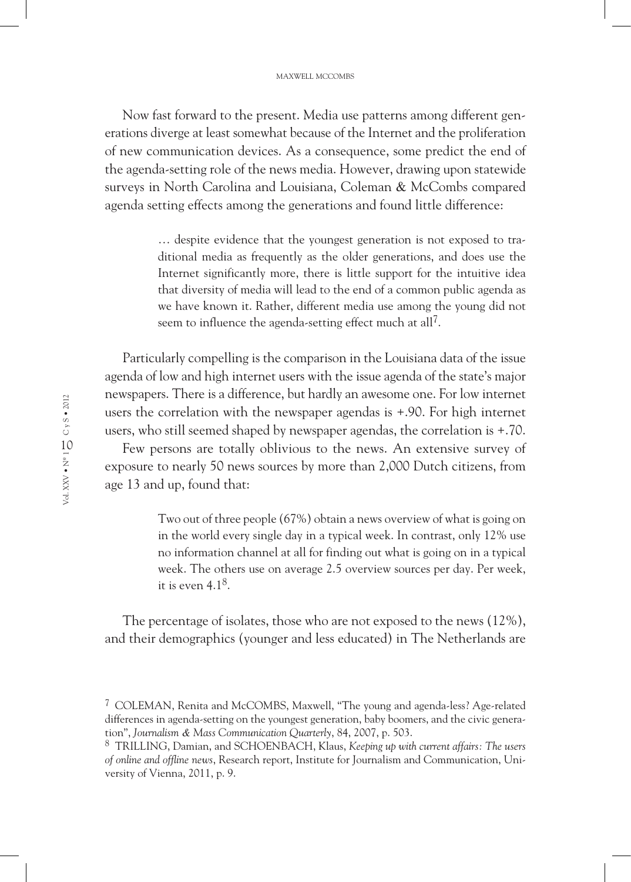Now fast forward to the present. Media use patterns among different generations diverge at least somewhat because of the Internet and the proliferation of new communication devices. As a consequence, some predict the end of the agenda-setting role of the news media. However, drawing upon statewide surveys in North Carolina and Louisiana, Coleman & McCombs compared agenda setting effects among the generations and found little difference:

> … despite evidence that the youngest generation is not exposed to traditional media as frequently as the older generations, and does use the Internet significantly more, there is little support for the intuitive idea that diversity of media will lead to the end of a common public agenda as we have known it. Rather, different media use among the young did not seem to influence the agenda-setting effect much at all<sup>7</sup>.

Particularly compelling is the comparison in the Louisiana data of the issue agenda of low and high internet users with the issue agenda of the state's major newspapers. There is a difference, but hardly an awesome one. For low internet users the correlation with the newspaper agendas is +.90. For high internet users, who still seemed shaped by newspaper agendas, the correlation is +.70.

Few persons are totally oblivious to the news. An extensive survey of exposure to nearly 50 news sources by more than 2,000 Dutch citizens, from age 13 and up, found that:

> Two out of three people (67%) obtain a news overview of what is going on in the world every single day in a typical week. In contrast, only 12% use no information channel at all for finding out what is going on in a typical week. The others use on average 2.5 overview sources per day. Per week, it is even  $4.1<sup>8</sup>$ .

The percentage of isolates, those who are not exposed to the news (12%), and their demographics (younger and less educated) in The Netherlands are

<sup>7</sup> COLEMAN, Renita and McCOMBS, Maxwell, "The young and agenda-less? Age-related differences in agenda-setting on the youngest generation, baby boomers, and the civic generation", *Journalism & Mass Communication Quarterly*, 84, 2007, p. 503.

<sup>8</sup> TRILLING, Damian, and SCHOENBACH, Klaus, *Keeping up with current affairs: The users of online and offline news*, Research report, Institute for Journalism and Communication, University of Vienna, 2011, p. 9.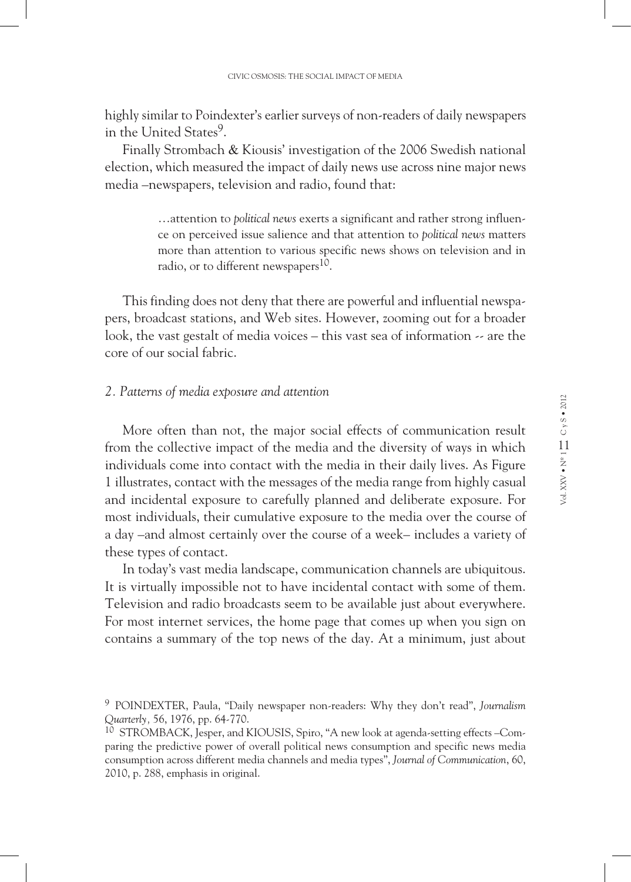highly similar to Poindexter's earlier surveys of non-readers of daily newspapers in the United States<sup>9</sup>.

Finally Strombach & Kiousis' investigation of the 2006 Swedish national election, which measured the impact of daily news use across nine major news media –newspapers, television and radio, found that:

> …attention to *political news* exerts a significant and rather strong influence on perceived issue salience and that attention to *political news* matters more than attention to various specific news shows on television and in radio, or to different newspapers<sup>10</sup>.

This finding does not deny that there are powerful and influential newspapers, broadcast stations, and Web sites. However, zooming out for a broader look, the vast gestalt of media voices – this vast sea of information -- are the core of our social fabric.

#### *2. Patterns of media exposure and attention*

More often than not, the major social effects of communication result from the collective impact of the media and the diversity of ways in which individuals come into contact with the media in their daily lives. As Figure 1 illustrates, contact with the messages of the media range from highly casual and incidental exposure to carefully planned and deliberate exposure. For most individuals, their cumulative exposure to the media over the course of a day –and almost certainly over the course of a week– includes a variety of these types of contact.

In today's vast media landscape, communication channels are ubiquitous. It is virtually impossible not to have incidental contact with some of them. Television and radio broadcasts seem to be available just about everywhere. For most internet services, the home page that comes up when you sign on contains a summary of the top news of the day. At a minimum, just about

<sup>9</sup> POINDEXTER, Paula, "Daily newspaper non-readers: Why they don't read", *Journalism Quarterly,* 56, 1976, pp. 64-770.

<sup>10</sup> STROMBACK, Jesper, and KIOUSIS, Spiro, "A new look at agenda-setting effects -Comparing the predictive power of overall political news consumption and specific news media consumption across different media channels and media types", *Journal of Communication*, 60, 2010, p. 288, emphasis in original.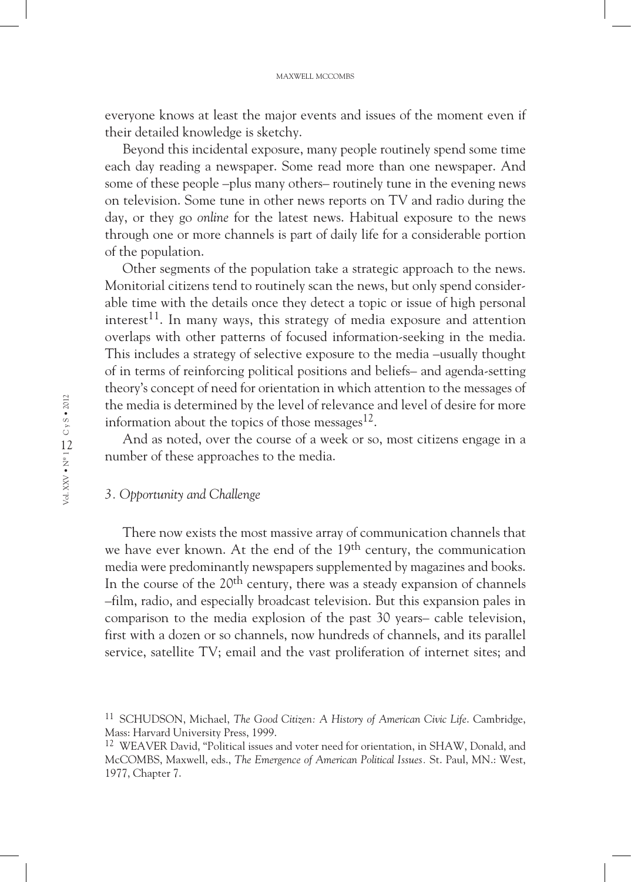everyone knows at least the major events and issues of the moment even if their detailed knowledge is sketchy.

Beyond this incidental exposure, many people routinely spend some time each day reading a newspaper. Some read more than one newspaper. And some of these people –plus many others– routinely tune in the evening news on television. Some tune in other news reports on TV and radio during the day, or they go *online* for the latest news. Habitual exposure to the news through one or more channels is part of daily life for a considerable portion of the population.

Other segments of the population take a strategic approach to the news. Monitorial citizens tend to routinely scan the news, but only spend considerable time with the details once they detect a topic or issue of high personal interest<sup>11</sup>. In many ways, this strategy of media exposure and attention overlaps with other patterns of focused information-seeking in the media. This includes a strategy of selective exposure to the media –usually thought of in terms of reinforcing political positions and beliefs– and agenda-setting theory's concept of need for orientation in which attention to the messages of the media is determined by the level of relevance and level of desire for more information about the topics of those messages $^{12}$ .

And as noted, over the course of a week or so, most citizens engage in a number of these approaches to the media.

### *3. Opportunity and Challenge*

There now exists the most massive array of communication channels that we have ever known. At the end of the 19<sup>th</sup> century, the communication media were predominantly newspapers supplemented by magazines and books. In the course of the 20<sup>th</sup> century, there was a steady expansion of channels –film, radio, and especially broadcast television. But this expansion pales in comparison to the media explosion of the past 30 years– cable television, first with a dozen or so channels, now hundreds of channels, and its parallel service, satellite TV; email and the vast proliferation of internet sites; and

<sup>11</sup> SCHUDSON, Michael, *The Good Citizen: A History of American Civic Life*. Cambridge, Mass: Harvard University Press, 1999.

<sup>&</sup>lt;sup>12</sup> WEAVER David, "Political issues and voter need for orientation, in SHAW, Donald, and McCOMBS, Maxwell, eds., *The Emergence of American Political Issues.* St. Paul, MN.: West, 1977, Chapter 7.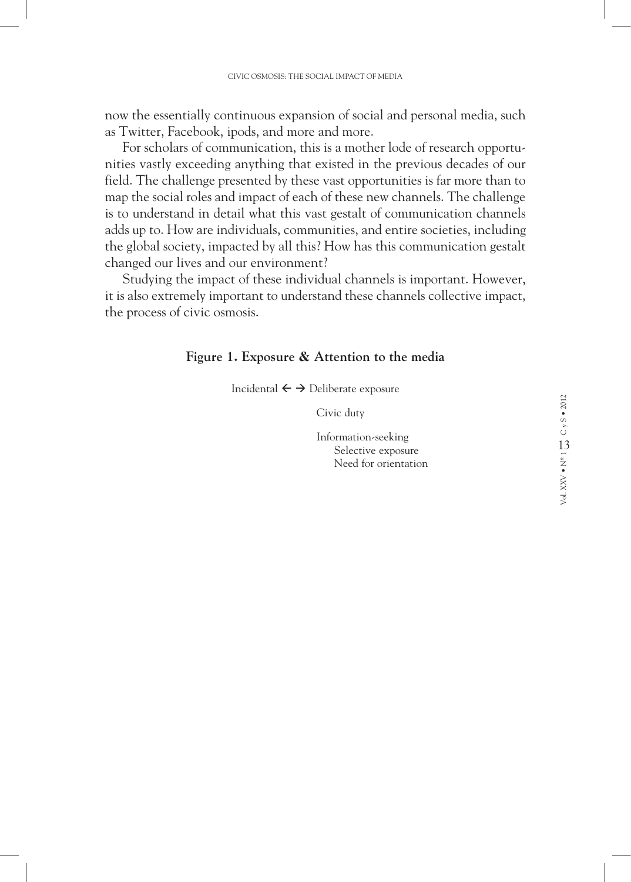now the essentially continuous expansion of social and personal media, such as Twitter, Facebook, ipods, and more and more.

For scholars of communication, this is a mother lode of research opportunities vastly exceeding anything that existed in the previous decades of our field. The challenge presented by these vast opportunities is far more than to map the social roles and impact of each of these new channels. The challenge is to understand in detail what this vast gestalt of communication channels adds up to. How are individuals, communities, and entire societies, including the global society, impacted by all this? How has this communication gestalt changed our lives and our environment?

Studying the impact of these individual channels is important. However, it is also extremely important to understand these channels collective impact, the process of civic osmosis.

### **Figure 1. Exposure & Attention to the media**

Incidental  $\leftarrow \rightarrow$  Deliberate exposure

Civic duty

Information-seeking Selective exposure Need for orientation